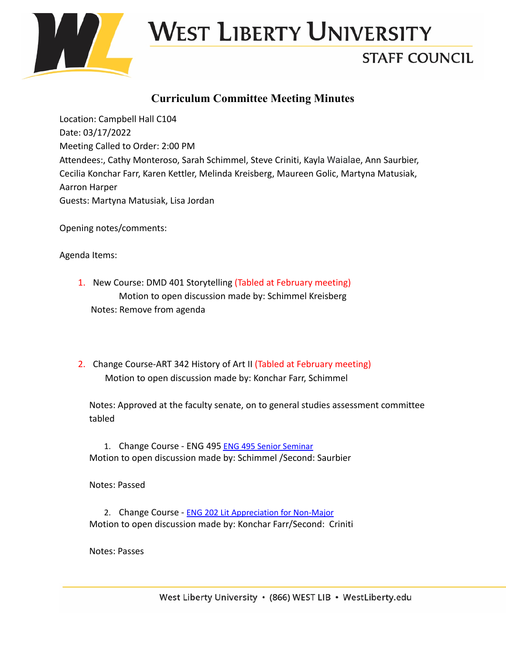

### West Liberty University

#### **STAFF COUNCIL**

#### **Curriculum Committee Meeting Minutes**

Location: Campbell Hall C104 Date: 03/17/2022 Meeting Called to Order: 2:00 PM Attendees:, Cathy Monteroso, Sarah Schimmel, Steve Criniti, Kayla Waialae, Ann Saurbier, Cecilia Konchar Farr, Karen Kettler, Melinda Kreisberg, Maureen Golic, Martyna Matusiak, Aarron Harper Guests: Martyna Matusiak, Lisa Jordan

Opening notes/comments:

Agenda Items:

- 1. New Course: DMD 401 Storytelling (Tabled at February meeting) Motion to open discussion made by: Schimmel Kreisberg Notes: Remove from agenda
- 2. Change Course-ART 342 History of Art II (Tabled at February meeting) Motion to open discussion made by: Konchar Farr, Schimmel

Notes: Approved at the faculty senate, on to general studies assessment committee tabled

1. Change Course - ENG 495 ENG 495 Senior [Seminar](https://westliberty.smartcatalogiq.com/?sc_itemid=%7b76A23149-169C-4A1E-A119-04A50A258A1B%7d&item=%7b7A5CA6DF-CED2-40DD-8127-E793DC3575F4%7d) Motion to open discussion made by: Schimmel /Second: Saurbier

Notes: Passed

2. Change Course - **ENG 202 Lit [Appreciation](https://westliberty.smartcatalogiq.com/?sc_itemid=%7b76A23149-169C-4A1E-A119-04A50A258A1B%7d&item=%7bFC3CD070-19A7-4DBF-A1E3-D1C20D7E6030%7d) for Non-Major** Motion to open discussion made by: Konchar Farr/Second: Criniti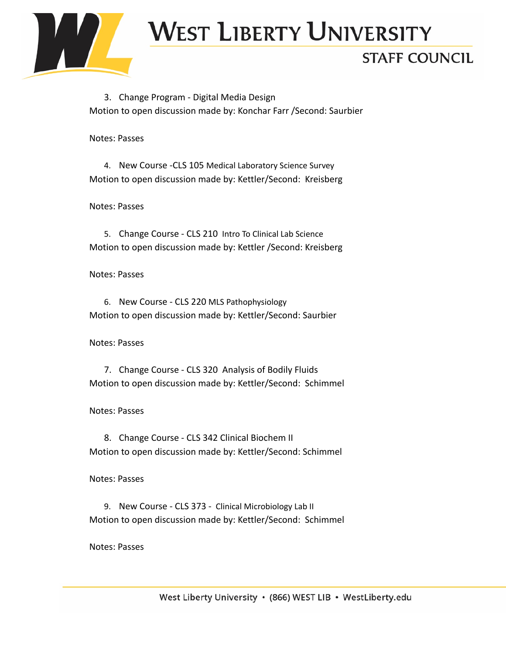

### West Liberty University

#### **STAFF COUNCIL**

3. Change Program - Digital Media Design Motion to open discussion made by: Konchar Farr /Second: Saurbier

Notes: Passes

4. New Course -CLS 105 Medical [Laboratory](https://westliberty.smartcatalogiq.com/?sc_itemid=%7bADF64A98-67BD-4496-AB4F-EE2E70737F4C%7d&item=%7b6AB6CFAF-84DA-4481-9C8E-19DA7C5D6E52%7d) Science Survey Motion to open discussion made by: Kettler/Second: Kreisberg

Notes: Passes

5. Change Course - CLS 210 Intro To Clinical Lab [Science](https://westliberty.smartcatalogiq.com/?sc_itemid=%7b76A23149-169C-4A1E-A119-04A50A258A1B%7d&item=%7b914722BB-FACE-4A38-A729-0F46EF98280D%7d) Motion to open discussion made by: Kettler /Second: Kreisberg

Notes: Passes

6. New Course - CLS 220 MLS [Pathophysiology](https://westliberty.smartcatalogiq.com/?sc_itemid=%7bADF64A98-67BD-4496-AB4F-EE2E70737F4C%7d&item=%7bD209964B-AF37-4E0F-A924-0B032EDFA548%7d) Motion to open discussion made by: Kettler/Second: Saurbier

Notes: Passes

7. Change Course - CLS 320 Analysis of Bodily Fluids Motion to open discussion made by: Kettler/Second: Schimmel

Notes: Passes

8. Change Course - CLS 342 [Clinical Biochem II](https://westliberty.smartcatalogiq.com/?sc_itemid=%7b76A23149-169C-4A1E-A119-04A50A258A1B%7d&item=%7b7317608D-D991-49D6-8C3E-434A3193CC0D%7d) Motion to open discussion made by: Kettler/Second: Schimmel

Notes: Passes

9. New Course - CLS 373 - Clinical [Microbiology](https://westliberty.smartcatalogiq.com/?sc_itemid=%7bADF64A98-67BD-4496-AB4F-EE2E70737F4C%7d&item=%7bB802462E-E7E7-441A-880B-169E5E7CB3BC%7d) Lab II Motion to open discussion made by: Kettler/Second: Schimmel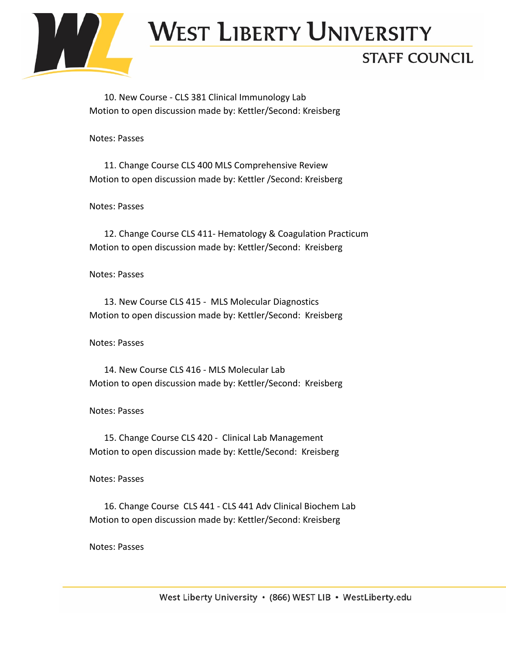

# **WEST LIBERTY UNIVERSITY**

#### **STAFF COUNCIL**

10. New Course - CLS 381 [Clinical Immunology Lab](https://westliberty.smartcatalogiq.com/?sc_itemid=%7bADF64A98-67BD-4496-AB4F-EE2E70737F4C%7d&item=%7bEE478765-CD20-418C-981A-D9C332DF000B%7d) Motion to open discussion made by: Kettler/Second: Kreisberg

Notes: Passes

11. Change Course CLS 400 MLS [Comprehensive Review](https://westliberty.smartcatalogiq.com/?sc_itemid=%7b76A23149-169C-4A1E-A119-04A50A258A1B%7d&item=%7bC7E6C9C2-7C65-4890-B6B1-1BFF8FFD8587%7d) Motion to open discussion made by: Kettler /Second: Kreisberg

Notes: Passes

12. Change Course CLS 411- [Hematology & Coagulation Practicum](https://westliberty.smartcatalogiq.com/?sc_itemid=%7b76A23149-169C-4A1E-A119-04A50A258A1B%7d&item=%7bE37CCE2D-8B0D-4125-8E22-75257EEB8515%7d) Motion to open discussion made by: Kettler/Second: Kreisberg

Notes: Passes

13. New Course CLS 415 - [MLS Molecular Diagnostics](https://westliberty.smartcatalogiq.com/?sc_itemid=%7bADF64A98-67BD-4496-AB4F-EE2E70737F4C%7d&item=%7bCE3BBA71-92A2-4F52-BA10-31AC27238EBF%7d) Motion to open discussion made by: Kettler/Second: Kreisberg

Notes: Passes

14. New Course CLS 416 - [MLS Molecular Lab](https://westliberty.smartcatalogiq.com/?sc_itemid=%7bADF64A98-67BD-4496-AB4F-EE2E70737F4C%7d&item=%7b67D5A271-C07D-45BD-A858-41790058FC05%7d) Motion to open discussion made by: Kettler/Second: Kreisberg

Notes: Passes

15. Change Course CLS 420 - [Clinical Lab Management](https://westliberty.smartcatalogiq.com/?sc_itemid=%7b76A23149-169C-4A1E-A119-04A50A258A1B%7d&item=%7bA3103EA9-6492-4BD7-9C29-68C01DC3BEE9%7d) Motion to open discussion made by: Kettle/Second: Kreisberg

Notes: Passes

16. Change Course CLS 441 - [CLS 441 Adv Clinical Biochem](https://westliberty.smartcatalogiq.com/?sc_itemid=%7b76A23149-169C-4A1E-A119-04A50A258A1B%7d&item=%7b28A798EF-A264-4049-AFB0-49D553F892FF%7d) Lab Motion to open discussion made by: Kettler/Second: Kreisberg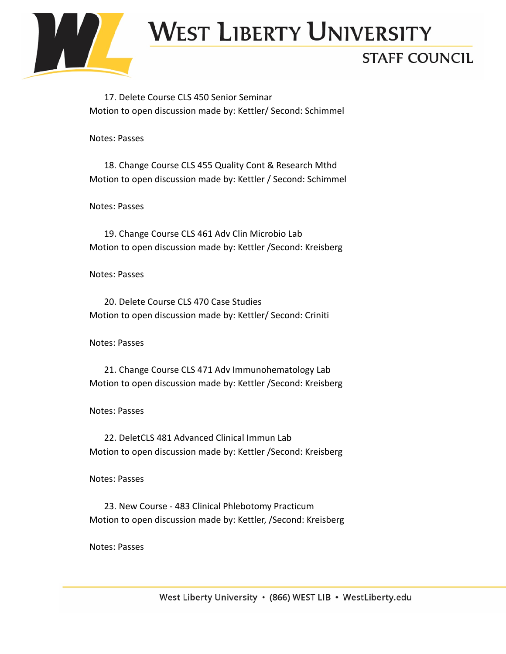

# West Liberty University

#### **STAFF COUNCIL**

17. Delete Course CLS 450 [Senior Seminar](https://westliberty.smartcatalogiq.com/?sc_itemid=%7b6A8AC19C-3EDF-4258-8E1F-C57E9C1B86A8%7d&item=%7bB3302DE4-760A-4C10-803D-BF530C5E40A8%7d) Motion to open discussion made by: Kettler/ Second: Schimmel

Notes: Passes

18. Change Course CLS 455 [Quality Cont & Research Mthd](https://westliberty.smartcatalogiq.com/?sc_itemid=%7b76A23149-169C-4A1E-A119-04A50A258A1B%7d&item=%7bD72416C1-8C36-409A-BCDB-5B454FC78222%7d) Motion to open discussion made by: Kettler / Second: Schimmel

Notes: Passes

19. Change Course CLS 461 [Adv Clin Microbio Lab](https://westliberty.smartcatalogiq.com/?sc_itemid=%7b76A23149-169C-4A1E-A119-04A50A258A1B%7d&item=%7bB86BC928-9236-423A-997F-A4C01B651752%7d) Motion to open discussion made by: Kettler /Second: Kreisberg

Notes: Passes

20. Delete Course CLS 470 [Case Studies](https://westliberty.smartcatalogiq.com/?sc_itemid=%7b6A8AC19C-3EDF-4258-8E1F-C57E9C1B86A8%7d&item=%7b0A1F0C30-DA89-4775-94D1-49C15C733DA8%7d) Motion to open discussion made by: Kettler/ Second: Criniti

Notes: Passes

21. Change Course CLS 471 [Adv Immunohematology Lab](https://westliberty.smartcatalogiq.com/?sc_itemid=%7b76A23149-169C-4A1E-A119-04A50A258A1B%7d&item=%7b34C94988-AF6E-4B70-BE84-F79A20F4701D%7d) Motion to open discussion made by: Kettler /Second: Kreisberg

Notes: Passes

22. DeletCLS 481 [Advanced Clinical Immun Lab](https://westliberty.smartcatalogiq.com/?sc_itemid=%7b6A8AC19C-3EDF-4258-8E1F-C57E9C1B86A8%7d&item=%7b7ECE2A53-CAFD-44BC-A1F6-1FA54CEC06E3%7d) Motion to open discussion made by: Kettler /Second: Kreisberg

Notes: Passes

23. New Course - 483 [Clinical Phlebotomy Practicum](https://westliberty.smartcatalogiq.com/?sc_itemid=%7bADF64A98-67BD-4496-AB4F-EE2E70737F4C%7d&item=%7bE3E91F3E-A67D-4B1A-AFF6-2234128DF617%7d) Motion to open discussion made by: Kettler, /Second: Kreisberg